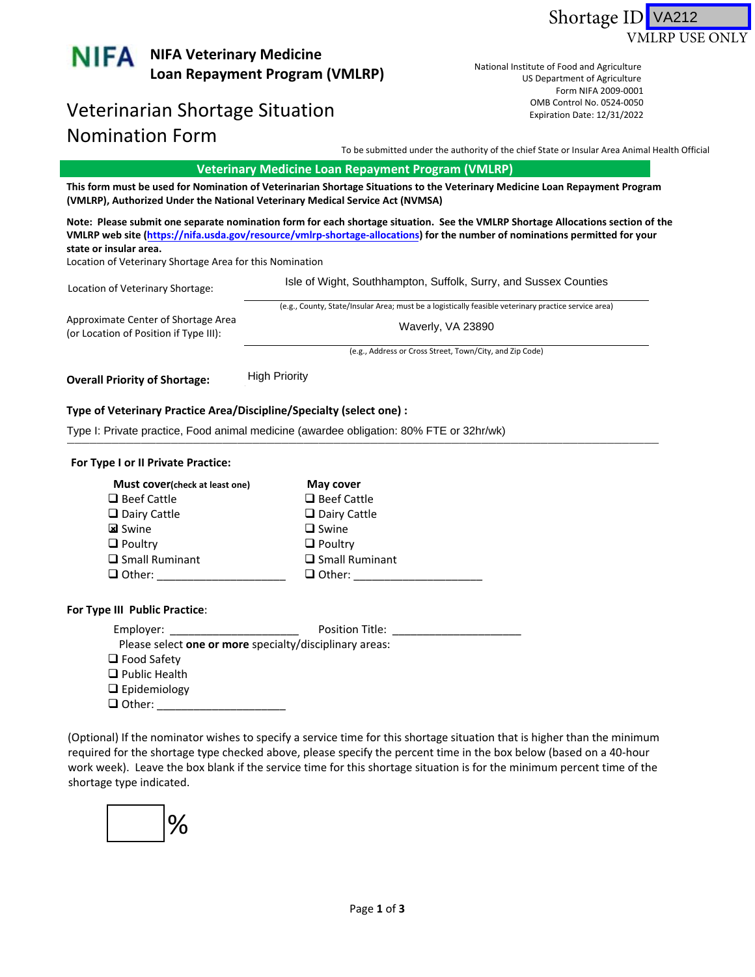



## Veterinarian Shortage Situation and the control No. 0524-0050 Nomination Form

US Department of Agriculture Form NIFA 2009-0001 US Department of Agriculture<br>Form NIFA 2009‐0001<br>OMB Control No. 0524‐0050 National Institute of Food and Agriculture Expiration Date: 12/31/2022

To be submitted under the authority of the chief State or Insular Area Animal Health Official

 **Veterinary Medicine Loan Repayment Program (VMLRP)**

This form must be used for Nomination of Veterinarian Shortage Situations to the Veterinary Medicine Loan Repayment Program **(VMLRP), Authorized Under the National Veterinary Medical Service Act (NVMSA)**

Note: Please submit one separate nomination form for each shortage situation. See the VMLRP Shortage Allocations section of the VMLRP web site (https://nifa.usda.gov/resource/vmlrp-shortage-allocations) for the number of nominations permitted for your **state or insular area.**

Location of Veterinary Shortage Area for this Nomination

| Location of Veterinary Shortage:                                              | Isle of Wight, Southhampton, Suffolk, Surry, and Sussex Counties                                     |
|-------------------------------------------------------------------------------|------------------------------------------------------------------------------------------------------|
|                                                                               | (e.g., County, State/Insular Area; must be a logistically feasible veterinary practice service area) |
| Approximate Center of Shortage Area<br>(or Location of Position if Type III): | Waverly, VA 23890                                                                                    |
|                                                                               | $\mathcal{L}$ . All $\mathcal{L}$ . All $\mathcal{L}$ . All $\mathcal{L}$ . The set of $\mathcal{L}$ |

(e.g., Address or Cross Street, Town/City, and Zip Code)

 **Overall Priority of Shortage:** \_\_\_\_\_\_\_\_\_\_\_\_\_\_ High Priority

## **Type of Veterinary Practice Area/Discipline/Specialty (select one) :**

Type I: Private practice, Food animal medicine (awardee obligation: 80% FTE or 32hr/wk)<br>————————————————————

## **For Type I or II Private Practice:**

| Must cover(check at least one) | May cover             |
|--------------------------------|-----------------------|
| $\Box$ Beef Cattle             | $\Box$ Beef Cattle    |
| $\Box$ Dairy Cattle            | $\Box$ Dairy Cattle   |
| <b>k</b> Swine                 | $\Box$ Swine          |
| $\Box$ Poultry                 | $\Box$ Poultry        |
| $\Box$ Small Ruminant          | $\Box$ Small Ruminant |
| $\Box$ Other:                  | $\Box$ Other:         |

## **For Type III Public Practice**:

| Employer:                                               | Position Title: |  |
|---------------------------------------------------------|-----------------|--|
| Please select one or more specialty/disciplinary areas: |                 |  |
| $\Box$ Food Safety                                      |                 |  |
| $\Box$ Public Health                                    |                 |  |
| $\Box$ Epidemiology                                     |                 |  |
| $\Box$ Other:                                           |                 |  |

 (Optional) If the nominator wishes to specify a service time for this shortage situation that is higher than the minimum required for the shortage type checked above, please specify the percent time in the box below (based on a 40‐hour work week). Leave the box blank if the service time for this shortage situation is for the minimum percent time of the shortage type indicated.

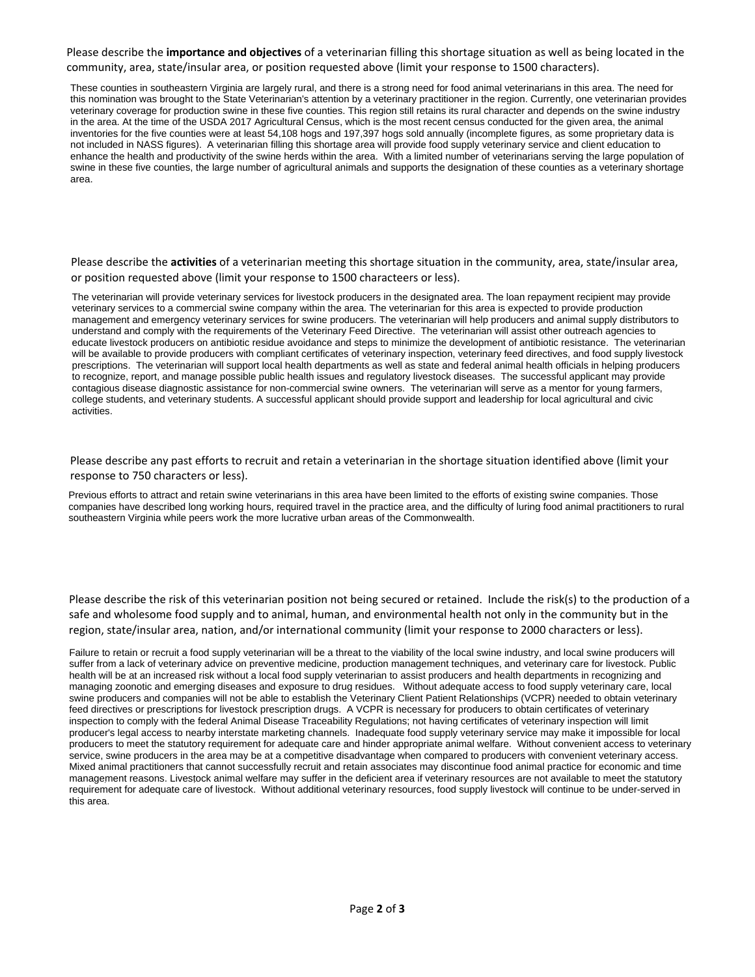Please describe the **importance and objectives** of a veterinarian filling this shortage situation as well as being located in the community, area, state/insular area, or position requested above (limit your response to 1500 characters).

These counties in southeastern Virginia are largely rural, and there is a strong need for food animal veterinarians in this area. The need for this nomination was brought to the State Veterinarian's attention by a veterinary practitioner in the region. Currently, one veterinarian provides veterinary coverage for production swine in these five counties. This region still retains its rural character and depends on the swine industry in the area. At the time of the USDA 2017 Agricultural Census, which is the most recent census conducted for the given area, the animal inventories for the five counties were at least 54,108 hogs and 197,397 hogs sold annually (incomplete figures, as some proprietary data is not included in NASS figures). A veterinarian filling this shortage area will provide food supply veterinary service and client education to enhance the health and productivity of the swine herds within the area. With a limited number of veterinarians serving the large population of swine in these five counties, the large number of agricultural animals and supports the designation of these counties as a veterinary shortage area.

 Please describe the **activities** of a veterinarian meeting this shortage situation in the community, area, state/insular area, or position requested above (limit your response to 1500 characteers or less).

The veterinarian will provide veterinary services for livestock producers in the designated area. The loan repayment recipient may provide veterinary services to a commercial swine company within the area. The veterinarian for this area is expected to provide production management and emergency veterinary services for swine producers. The veterinarian will help producers and animal supply distributors to understand and comply with the requirements of the Veterinary Feed Directive. The veterinarian will assist other outreach agencies to educate livestock producers on antibiotic residue avoidance and steps to minimize the development of antibiotic resistance. The veterinarian will be available to provide producers with compliant certificates of veterinary inspection, veterinary feed directives, and food supply livestock prescriptions. The veterinarian will support local health departments as well as state and federal animal health officials in helping producers to recognize, report, and manage possible public health issues and regulatory livestock diseases. The successful applicant may provide contagious disease diagnostic assistance for non-commercial swine owners. The veterinarian will serve as a mentor for young farmers, college students, and veterinary students. A successful applicant should provide support and leadership for local agricultural and civic activities.

 Please describe any past efforts to recruit and retain a veterinarian in the shortage situation identified above (limit your response to 750 characters or less).

Previous efforts to attract and retain swine veterinarians in this area have been limited to the efforts of existing swine companies. Those companies have described long working hours, required travel in the practice area, and the difficulty of luring food animal practitioners to rural southeastern Virginia while peers work the more lucrative urban areas of the Commonwealth.

 Please describe the risk of this veterinarian position not being secured or retained. Include the risk(s) to the production of a safe and wholesome food supply and to animal, human, and environmental health not only in the community but in the region, state/insular area, nation, and/or international community (limit your response to 2000 characters or less).

Failure to retain or recruit a food supply veterinarian will be a threat to the viability of the local swine industry, and local swine producers will suffer from a lack of veterinary advice on preventive medicine, production management techniques, and veterinary care for livestock. Public health will be at an increased risk without a local food supply veterinarian to assist producers and health departments in recognizing and managing zoonotic and emerging diseases and exposure to drug residues. Without adequate access to food supply veterinary care, local swine producers and companies will not be able to establish the Veterinary Client Patient Relationships (VCPR) needed to obtain veterinary feed directives or prescriptions for livestock prescription drugs. A VCPR is necessary for producers to obtain certificates of veterinary inspection to comply with the federal Animal Disease Traceability Regulations; not having certificates of veterinary inspection will limit producer's legal access to nearby interstate marketing channels. Inadequate food supply veterinary service may make it impossible for local producers to meet the statutory requirement for adequate care and hinder appropriate animal welfare. Without convenient access to veterinary service, swine producers in the area may be at a competitive disadvantage when compared to producers with convenient veterinary access. Mixed animal practitioners that cannot successfully recruit and retain associates may discontinue food animal practice for economic and time management reasons. Livestock animal welfare may suffer in the deficient area if veterinary resources are not available to meet the statutory requirement for adequate care of livestock. Without additional veterinary resources, food supply livestock will continue to be under-served in this area.